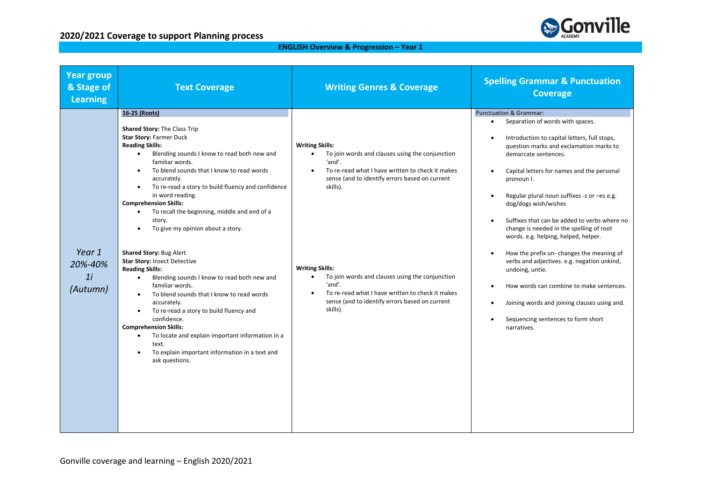

#### **ENGLISH Overview & Progression – Year 1**

| <b>Year group</b><br>& Stage of<br><b>Learning</b> | <b>Text Coverage</b>                                                                                                                                                                                                                                                                                                                                                                                                                                                                                  | <b>Writing Genres &amp; Coverage</b>                                                                                                                                                                                            | <b>Spelling Grammar &amp; Punctuation</b><br><b>Coverage</b>                                                                                                                                                                                                                                                                                                                                                                                                                                                                     |
|----------------------------------------------------|-------------------------------------------------------------------------------------------------------------------------------------------------------------------------------------------------------------------------------------------------------------------------------------------------------------------------------------------------------------------------------------------------------------------------------------------------------------------------------------------------------|---------------------------------------------------------------------------------------------------------------------------------------------------------------------------------------------------------------------------------|----------------------------------------------------------------------------------------------------------------------------------------------------------------------------------------------------------------------------------------------------------------------------------------------------------------------------------------------------------------------------------------------------------------------------------------------------------------------------------------------------------------------------------|
|                                                    | 16-25 (Roots)<br>Shared Story: The Class Trip<br><b>Star Story: Farmer Duck</b><br><b>Reading Skills:</b><br>Blending sounds I know to read both new and<br>$\bullet$<br>familiar words.<br>To blend sounds that I know to read words<br>accurately.<br>To re-read a story to build fluency and confidence<br>in word reading.<br><b>Comprehension Skills:</b><br>To recall the beginning, middle and end of a<br>$\bullet$<br>story.<br>To give my opinion about a story.                            | <b>Writing Skills:</b><br>To join words and clauses using the conjunction<br>$\bullet$<br>'and'.<br>To re-read what I have written to check it makes<br>$\bullet$<br>sense (and to identify errors based on current<br>skills). | <b>Punctuation &amp; Grammar:</b><br>Separation of words with spaces.<br>$\bullet$<br>Introduction to capital letters, full stops,<br>$\bullet$<br>question marks and exclamation marks to<br>demarcate sentences.<br>Capital letters for names and the personal<br>$\bullet$<br>pronoun I.<br>Regular plural noun suffixes -s or -es e.g.<br>$\bullet$<br>dog/dogs wish/wishes<br>Suffixes that can be added to verbs where no<br>$\bullet$<br>change is needed in the spelling of root<br>words. e.g. helping, helped, helper. |
| Year 1<br>20%-40%<br>11<br>(Autumn)                | Shared Story: Bug Alert<br><b>Star Story: Insect Detective</b><br><b>Reading Skills:</b><br>Blending sounds I know to read both new and<br>$\bullet$<br>familiar words.<br>To blend sounds that I know to read words<br>$\bullet$<br>accurately.<br>To re-read a story to build fluency and<br>$\bullet$<br>confidence.<br><b>Comprehension Skills:</b><br>To locate and explain important information in a<br>$\bullet$<br>text.<br>To explain important information in a text and<br>ask questions. | <b>Writing Skills:</b><br>To join words and clauses using the conjunction<br>$\bullet$<br>'and'.<br>To re-read what I have written to check it makes<br>sense (and to identify errors based on current<br>skills).              | How the prefix un-changes the meaning of<br>$\bullet$<br>verbs and adjectives. e.g. negation unkind,<br>undoing, untie.<br>How words can combine to make sentences.<br>$\bullet$<br>Joining words and joining clauses using and.<br>$\bullet$<br>Sequencing sentences to form short<br>$\bullet$<br>narratives.                                                                                                                                                                                                                  |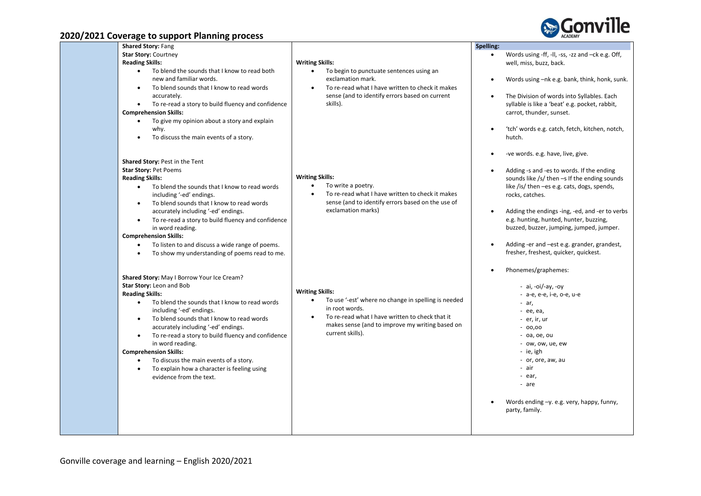

| of Lord coverage to support riammig process                                                                                                                                                                                                                                                                                                                                                                                                                                                                                                                      |                                                                                                                                                                                                                                        |           |                                                                                                                                                                                                                                                                                                                                                                                                                                     |
|------------------------------------------------------------------------------------------------------------------------------------------------------------------------------------------------------------------------------------------------------------------------------------------------------------------------------------------------------------------------------------------------------------------------------------------------------------------------------------------------------------------------------------------------------------------|----------------------------------------------------------------------------------------------------------------------------------------------------------------------------------------------------------------------------------------|-----------|-------------------------------------------------------------------------------------------------------------------------------------------------------------------------------------------------------------------------------------------------------------------------------------------------------------------------------------------------------------------------------------------------------------------------------------|
| <b>Shared Story: Fang</b><br><b>Star Story: Courtney</b><br><b>Reading Skills:</b><br>To blend the sounds that I know to read both<br>new and familiar words.<br>To blend sounds that I know to read words<br>$\bullet$<br>accurately.<br>To re-read a story to build fluency and confidence<br>$\bullet$<br><b>Comprehension Skills:</b><br>To give my opinion about a story and explain<br>$\bullet$<br>why.<br>To discuss the main events of a story.                                                                                                         | <b>Writing Skills:</b><br>To begin to punctuate sentences using an<br>exclamation mark.<br>To re-read what I have written to check it makes<br>sense (and to identify errors based on current<br>skills).                              | Spelling: | Words using -ff, -ll, -ss, -zz and -ck e.g. Off,<br>well, miss, buzz, back.<br>Words using $-nk$ e.g. bank, think, honk, sunk.<br>The Division of words into Syllables. Each<br>syllable is like a 'beat' e.g. pocket, rabbit,<br>carrot, thunder, sunset.<br>'tch' words e.g. catch, fetch, kitchen, notch,<br>hutch.                                                                                                              |
| <b>Shared Story: Pest in the Tent</b><br>Star Story: Pet Poems<br><b>Reading Skills:</b><br>To blend the sounds that I know to read words<br>$\bullet$<br>including '-ed' endings.<br>To blend sounds that I know to read words<br>$\bullet$<br>accurately including '-ed' endings.<br>To re-read a story to build fluency and confidence<br>$\bullet$<br>in word reading.<br><b>Comprehension Skills:</b><br>To listen to and discuss a wide range of poems.<br>$\bullet$<br>To show my understanding of poems read to me.                                      | <b>Writing Skills:</b><br>To write a poetry.<br>$\bullet$<br>To re-read what I have written to check it makes<br>sense (and to identify errors based on the use of<br>exclamation marks)                                               |           | -ve words. e.g. have, live, give.<br>Adding -s and -es to words. If the ending<br>sounds like $/s$ then $-s$ If the ending sounds<br>like /is/ then -es e.g. cats, dogs, spends,<br>rocks, catches.<br>Adding the endings -ing, -ed, and -er to verbs<br>e.g. hunting, hunted, hunter, buzzing,<br>buzzed, buzzer, jumping, jumped, jumper.<br>Adding -er and -est e.g. grander, grandest,<br>fresher, freshest, quicker, quickest. |
| Shared Story: May I Borrow Your Ice Cream?<br>Star Story: Leon and Bob<br><b>Reading Skills:</b><br>To blend the sounds that I know to read words<br>$\bullet$<br>including '-ed' endings.<br>To blend sounds that I know to read words<br>$\bullet$<br>accurately including '-ed' endings.<br>To re-read a story to build fluency and confidence<br>$\bullet$<br>in word reading.<br><b>Comprehension Skills:</b><br>To discuss the main events of a story.<br>$\bullet$<br>To explain how a character is feeling using<br>$\bullet$<br>evidence from the text. | <b>Writing Skills:</b><br>To use '-est' where no change in spelling is needed<br>$\bullet$<br>in root words.<br>To re-read what I have written to check that it<br>makes sense (and to improve my writing based on<br>current skills). |           | Phonemes/graphemes:<br>- $ai, -oi$ -ay, $-oy$<br>- a-e, e-e, i-e, o-e, u-e<br>$- ar,$<br>- ее, еа,<br>- er, ir, ur<br>$-00,00$<br>$-$ 0a, 0e, 0u<br>- ow, ow, ue, ew<br>- ie, igh<br>- or, ore, aw, au<br>- air<br>- ear,<br>- are                                                                                                                                                                                                  |
|                                                                                                                                                                                                                                                                                                                                                                                                                                                                                                                                                                  |                                                                                                                                                                                                                                        |           | Words ending -y. e.g. very, happy, funny,<br>party, family.                                                                                                                                                                                                                                                                                                                                                                         |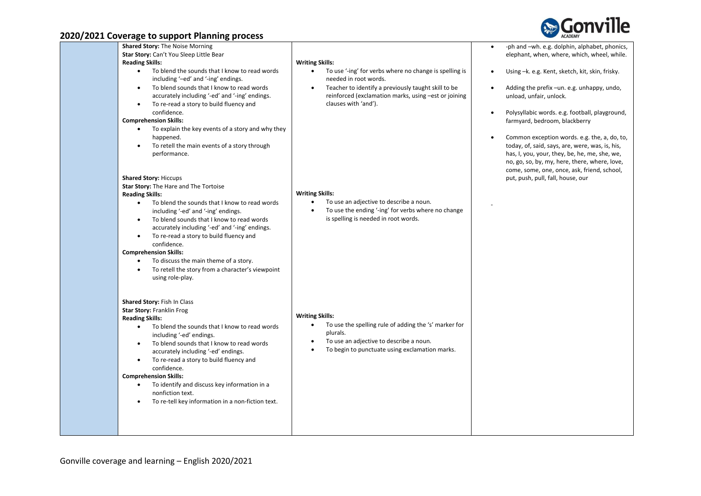

| $2022$ coverage to support manning process                                                                                                                                                                                                                                                              |                                                                                                                                                                             |                                                                                                                                                                                                                                                               |
|---------------------------------------------------------------------------------------------------------------------------------------------------------------------------------------------------------------------------------------------------------------------------------------------------------|-----------------------------------------------------------------------------------------------------------------------------------------------------------------------------|---------------------------------------------------------------------------------------------------------------------------------------------------------------------------------------------------------------------------------------------------------------|
| <b>Shared Story: The Noise Morning</b><br>Star Story: Can't You Sleep Little Bear                                                                                                                                                                                                                       |                                                                                                                                                                             | -ph and -wh. e.g. dolphin, alphabet, phonics,<br>$\bullet$<br>elephant, when, where, which, wheel, while.                                                                                                                                                     |
| <b>Reading Skills:</b>                                                                                                                                                                                                                                                                                  | <b>Writing Skills:</b>                                                                                                                                                      |                                                                                                                                                                                                                                                               |
| To blend the sounds that I know to read words<br>$\bullet$<br>including '-ed' and '-ing' endings.                                                                                                                                                                                                       | To use '-ing' for verbs where no change is spelling is<br>needed in root words.                                                                                             | Using -k. e.g. Kent, sketch, kit, skin, frisky.                                                                                                                                                                                                               |
| To blend sounds that I know to read words<br>$\bullet$<br>accurately including '-ed' and '-ing' endings.<br>To re-read a story to build fluency and<br>$\bullet$                                                                                                                                        | Teacher to identify a previously taught skill to be<br>$\bullet$<br>reinforced (exclamation marks, using -est or joining<br>clauses with 'and').                            | Adding the prefix -un. e.g. unhappy, undo,<br>unload, unfair, unlock.                                                                                                                                                                                         |
| confidence.<br><b>Comprehension Skills:</b>                                                                                                                                                                                                                                                             |                                                                                                                                                                             | Polysyllabic words. e.g. football, playground,<br>farmyard, bedroom, blackberry                                                                                                                                                                               |
| To explain the key events of a story and why they<br>happened.<br>To retell the main events of a story through<br>performance.                                                                                                                                                                          |                                                                                                                                                                             | Common exception words. e.g. the, a, do, to,<br>$\bullet$<br>today, of, said, says, are, were, was, is, his,<br>has, I, you, your, they, be, he, me, she, we,<br>no, go, so, by, my, here, there, where, love,<br>come, some, one, once, ask, friend, school, |
| <b>Shared Story: Hiccups</b>                                                                                                                                                                                                                                                                            |                                                                                                                                                                             | put, push, pull, fall, house, our                                                                                                                                                                                                                             |
| Star Story: The Hare and The Tortoise                                                                                                                                                                                                                                                                   |                                                                                                                                                                             |                                                                                                                                                                                                                                                               |
| <b>Reading Skills:</b>                                                                                                                                                                                                                                                                                  | <b>Writing Skills:</b>                                                                                                                                                      |                                                                                                                                                                                                                                                               |
| To blend the sounds that I know to read words<br>$\bullet$<br>including '-ed' and '-ing' endings.<br>To blend sounds that I know to read words<br>accurately including '-ed' and '-ing' endings.<br>To re-read a story to build fluency and<br>$\bullet$<br>confidence.<br><b>Comprehension Skills:</b> | To use an adjective to describe a noun.<br>$\bullet$<br>To use the ending '-ing' for verbs where no change<br>$\bullet$<br>is spelling is needed in root words.             |                                                                                                                                                                                                                                                               |
| To discuss the main theme of a story.<br>$\bullet$<br>To retell the story from a character's viewpoint<br>$\bullet$<br>using role-play.                                                                                                                                                                 |                                                                                                                                                                             |                                                                                                                                                                                                                                                               |
| Shared Story: Fish In Class<br>Star Story: Franklin Frog<br><b>Reading Skills:</b>                                                                                                                                                                                                                      | <b>Writing Skills:</b>                                                                                                                                                      |                                                                                                                                                                                                                                                               |
| To blend the sounds that I know to read words<br>$\bullet$<br>including '-ed' endings.<br>To blend sounds that I know to read words<br>$\bullet$<br>accurately including '-ed' endings.<br>To re-read a story to build fluency and<br>$\bullet$<br>confidence.                                          | To use the spelling rule of adding the 's' marker for<br>$\bullet$<br>plurals.<br>To use an adjective to describe a noun.<br>To begin to punctuate using exclamation marks. |                                                                                                                                                                                                                                                               |
| <b>Comprehension Skills:</b><br>To identify and discuss key information in a<br>$\bullet$<br>nonfiction text.<br>To re-tell key information in a non-fiction text.                                                                                                                                      |                                                                                                                                                                             |                                                                                                                                                                                                                                                               |
|                                                                                                                                                                                                                                                                                                         |                                                                                                                                                                             |                                                                                                                                                                                                                                                               |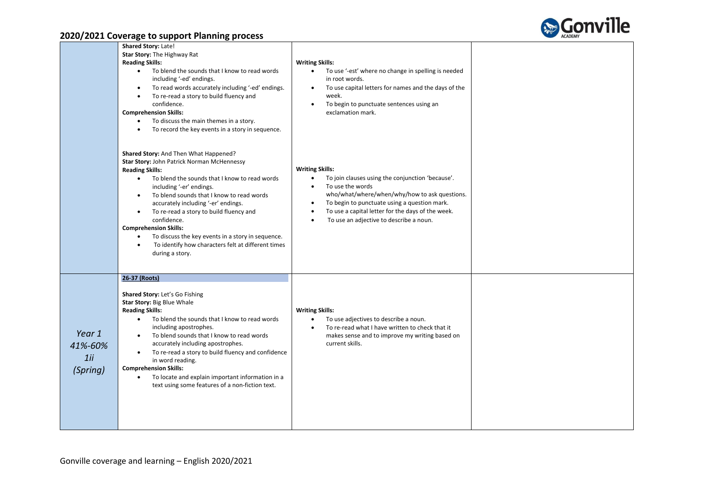

|                                      | Shared Story: Late!<br>Star Story: The Highway Rat<br><b>Reading Skills:</b><br>To blend the sounds that I know to read words<br>$\bullet$<br>including '-ed' endings.<br>To read words accurately including '-ed' endings.<br>$\bullet$<br>To re-read a story to build fluency and<br>confidence.<br><b>Comprehension Skills:</b><br>To discuss the main themes in a story.<br>$\bullet$<br>To record the key events in a story in sequence.<br>$\bullet$                                                                                                              | <b>Writing Skills:</b><br>To use '-est' where no change in spelling is needed<br>$\bullet$<br>in root words.<br>To use capital letters for names and the days of the<br>$\bullet$<br>week.<br>To begin to punctuate sentences using an<br>$\bullet$<br>exclamation mark.                                                               |  |
|--------------------------------------|-------------------------------------------------------------------------------------------------------------------------------------------------------------------------------------------------------------------------------------------------------------------------------------------------------------------------------------------------------------------------------------------------------------------------------------------------------------------------------------------------------------------------------------------------------------------------|----------------------------------------------------------------------------------------------------------------------------------------------------------------------------------------------------------------------------------------------------------------------------------------------------------------------------------------|--|
|                                      | Shared Story: And Then What Happened?<br>Star Story: John Patrick Norman McHennessy<br><b>Reading Skills:</b><br>To blend the sounds that I know to read words<br>$\bullet$<br>including '-er' endings.<br>To blend sounds that I know to read words<br>$\bullet$<br>accurately including '-er' endings.<br>To re-read a story to build fluency and<br>$\bullet$<br>confidence.<br><b>Comprehension Skills:</b><br>To discuss the key events in a story in sequence.<br>$\bullet$<br>To identify how characters felt at different times<br>$\bullet$<br>during a story. | <b>Writing Skills:</b><br>To join clauses using the conjunction 'because'.<br>$\bullet$<br>To use the words<br>$\bullet$<br>who/what/where/when/why/how to ask questions.<br>To begin to punctuate using a question mark.<br>To use a capital letter for the days of the week.<br>$\bullet$<br>To use an adjective to describe a noun. |  |
| Year 1<br>41%-60%<br>1ii<br>(Spring) | 26-37 (Roots)<br>Shared Story: Let's Go Fishing<br>Star Story: Big Blue Whale<br><b>Reading Skills:</b><br>To blend the sounds that I know to read words<br>$\bullet$<br>including apostrophes.<br>To blend sounds that I know to read words<br>$\bullet$<br>accurately including apostrophes.<br>To re-read a story to build fluency and confidence<br>$\bullet$<br>in word reading.<br><b>Comprehension Skills:</b><br>To locate and explain important information in a<br>$\bullet$<br>text using some features of a non-fiction text.                               | <b>Writing Skills:</b><br>To use adjectives to describe a noun.<br>$\bullet$<br>To re-read what I have written to check that it<br>makes sense and to improve my writing based on<br>current skills.                                                                                                                                   |  |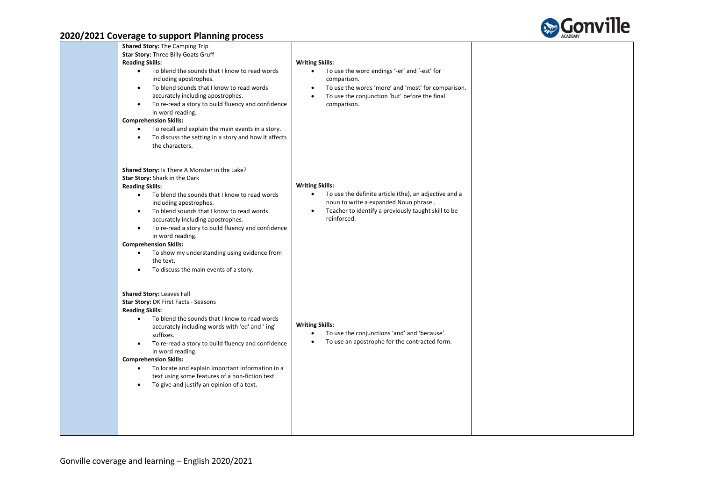

| <u>are de la externa communidade e elecc</u>                                                                                                                                                                                                                                                                                                                                                                                                                                                                                                               |                                                                                                                                                                                                                                                    |  |
|------------------------------------------------------------------------------------------------------------------------------------------------------------------------------------------------------------------------------------------------------------------------------------------------------------------------------------------------------------------------------------------------------------------------------------------------------------------------------------------------------------------------------------------------------------|----------------------------------------------------------------------------------------------------------------------------------------------------------------------------------------------------------------------------------------------------|--|
| Shared Story: The Camping Trip<br>Star Story: Three Billy Goats Gruff<br><b>Reading Skills:</b><br>To blend the sounds that I know to read words<br>$\bullet$<br>including apostrophes.<br>To blend sounds that I know to read words<br>$\bullet$<br>accurately including apostrophes.<br>To re-read a story to build fluency and confidence<br>$\bullet$<br>in word reading.<br><b>Comprehension Skills:</b><br>To recall and explain the main events in a story.<br>To discuss the setting in a story and how it affects<br>$\bullet$<br>the characters. | <b>Writing Skills:</b><br>To use the word endings '-er' and '-est' for<br>$\bullet$<br>comparison.<br>To use the words 'more' and 'most' for comparison.<br>$\bullet$<br>To use the conjunction 'but' before the final<br>$\bullet$<br>comparison. |  |
| Shared Story: Is There A Monster in the Lake?<br>Star Story: Shark in the Dark<br><b>Reading Skills:</b><br>To blend the sounds that I know to read words<br>$\bullet$<br>including apostrophes.<br>To blend sounds that I know to read words<br>$\bullet$<br>accurately including apostrophes.<br>To re-read a story to build fluency and confidence<br>$\bullet$<br>in word reading.<br><b>Comprehension Skills:</b><br>To show my understanding using evidence from<br>the text.<br>To discuss the main events of a story.<br>$\bullet$                 | <b>Writing Skills:</b><br>To use the definite article (the), an adjective and a<br>$\bullet$<br>noun to write a expanded Noun phrase.<br>Teacher to identify a previously taught skill to be<br>$\bullet$<br>reinforced.                           |  |
| <b>Shared Story: Leaves Fall</b><br>Star Story: DK First Facts - Seasons<br><b>Reading Skills:</b><br>To blend the sounds that I know to read words<br>$\bullet$<br>accurately including words with 'ed' and '-ing'<br>suffixes.<br>To re-read a story to build fluency and confidence<br>in word reading.<br><b>Comprehension Skills:</b><br>To locate and explain important information in a<br>text using some features of a non-fiction text.<br>To give and justify an opinion of a text.<br>$\bullet$                                                | <b>Writing Skills:</b><br>To use the conjunctions 'and' and 'because'.<br>$\bullet$<br>To use an apostrophe for the contracted form.<br>$\bullet$                                                                                                  |  |
|                                                                                                                                                                                                                                                                                                                                                                                                                                                                                                                                                            |                                                                                                                                                                                                                                                    |  |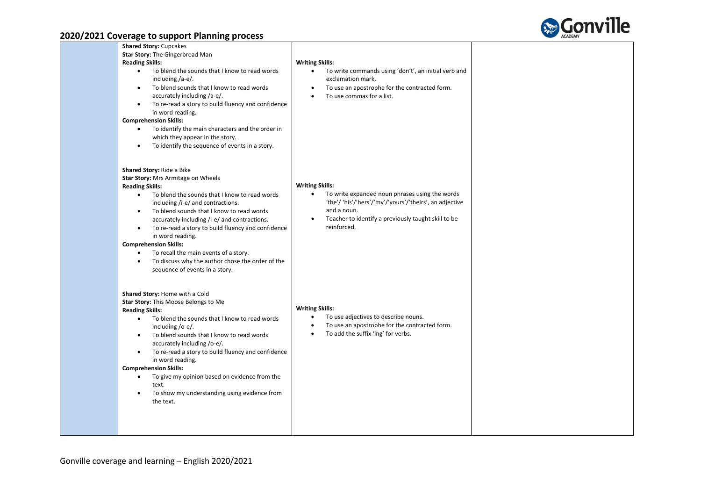

| <b>Shared Story: Cupcakes</b>                                                                                                                                                                                                                                                                                                                                                                                                                                                                                                                                                                                                                         |                                                                                                                                                                                                                                       |  |
|-------------------------------------------------------------------------------------------------------------------------------------------------------------------------------------------------------------------------------------------------------------------------------------------------------------------------------------------------------------------------------------------------------------------------------------------------------------------------------------------------------------------------------------------------------------------------------------------------------------------------------------------------------|---------------------------------------------------------------------------------------------------------------------------------------------------------------------------------------------------------------------------------------|--|
| Star Story: The Gingerbread Man                                                                                                                                                                                                                                                                                                                                                                                                                                                                                                                                                                                                                       |                                                                                                                                                                                                                                       |  |
| <b>Reading Skills:</b>                                                                                                                                                                                                                                                                                                                                                                                                                                                                                                                                                                                                                                | <b>Writing Skills:</b>                                                                                                                                                                                                                |  |
| To blend the sounds that I know to read words<br>$\bullet$<br>including $/a-e$ .<br>To blend sounds that I know to read words<br>$\bullet$<br>accurately including /a-e/.<br>To re-read a story to build fluency and confidence<br>$\bullet$<br>in word reading.<br><b>Comprehension Skills:</b><br>To identify the main characters and the order in<br>which they appear in the story.                                                                                                                                                                                                                                                               | To write commands using 'don't', an initial verb and<br>$\bullet$<br>exclamation mark.<br>To use an apostrophe for the contracted form.<br>To use commas for a list.<br>$\bullet$                                                     |  |
| To identify the sequence of events in a story.<br>$\bullet$<br>Shared Story: Ride a Bike<br>Star Story: Mrs Armitage on Wheels<br><b>Reading Skills:</b><br>To blend the sounds that I know to read words<br>$\bullet$<br>including /i-e/ and contractions.<br>To blend sounds that I know to read words<br>$\bullet$<br>accurately including /i-e/ and contractions.<br>To re-read a story to build fluency and confidence<br>$\bullet$<br>in word reading.<br><b>Comprehension Skills:</b><br>To recall the main events of a story.<br>$\bullet$<br>To discuss why the author chose the order of the<br>$\bullet$<br>sequence of events in a story. | <b>Writing Skills:</b><br>To write expanded noun phrases using the words<br>$\bullet$<br>'the'/ 'his'/'hers'/'my'/'yours'/'theirs', an adjective<br>and a noun.<br>Teacher to identify a previously taught skill to be<br>reinforced. |  |
| Shared Story: Home with a Cold<br>Star Story: This Moose Belongs to Me<br><b>Reading Skills:</b><br>To blend the sounds that I know to read words<br>$\bullet$<br>including /o-e/.<br>To blend sounds that I know to read words<br>$\bullet$<br>accurately including /o-e/.<br>To re-read a story to build fluency and confidence<br>$\bullet$<br>in word reading.<br><b>Comprehension Skills:</b><br>To give my opinion based on evidence from the<br>$\bullet$<br>text.<br>To show my understanding using evidence from<br>$\bullet$<br>the text.                                                                                                   | <b>Writing Skills:</b><br>To use adjectives to describe nouns.<br>$\bullet$<br>To use an apostrophe for the contracted form.<br>$\bullet$<br>To add the suffix 'ing' for verbs.<br>$\bullet$                                          |  |
|                                                                                                                                                                                                                                                                                                                                                                                                                                                                                                                                                                                                                                                       |                                                                                                                                                                                                                                       |  |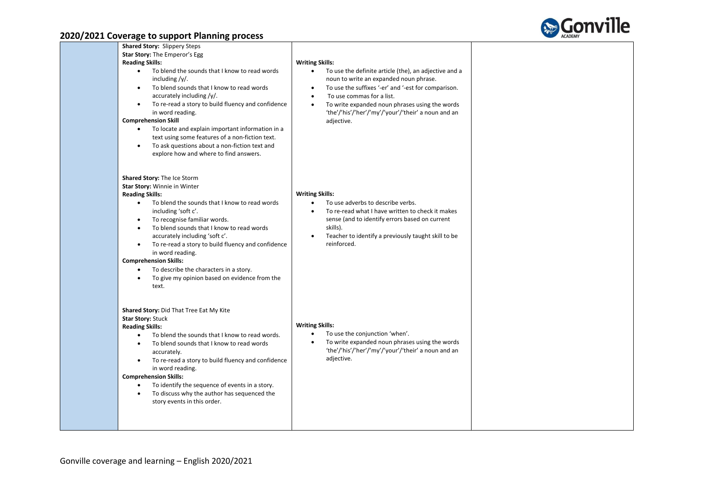

| Shared Story: Slippery Steps<br>Star Story: The Emperor's Egg<br><b>Reading Skills:</b><br>To blend the sounds that I know to read words<br>$\bullet$<br>including /y/.<br>To blend sounds that I know to read words<br>$\bullet$<br>accurately including /y/.<br>To re-read a story to build fluency and confidence<br>$\bullet$<br>in word reading.<br><b>Comprehension Skill</b><br>To locate and explain important information in a<br>$\bullet$<br>text using some features of a non-fiction text.<br>To ask questions about a non-fiction text and<br>$\bullet$<br>explore how and where to find answers. | <b>Writing Skills:</b><br>To use the definite article (the), an adjective and a<br>$\bullet$<br>noun to write an expanded noun phrase.<br>To use the suffixes '-er' and '-est for comparison.<br>$\bullet$<br>To use commas for a list.<br>$\bullet$<br>To write expanded noun phrases using the words<br>$\bullet$<br>'the'/'his'/'her'/'my'/'your'/'their' a noun and an<br>adjective. |  |
|-----------------------------------------------------------------------------------------------------------------------------------------------------------------------------------------------------------------------------------------------------------------------------------------------------------------------------------------------------------------------------------------------------------------------------------------------------------------------------------------------------------------------------------------------------------------------------------------------------------------|------------------------------------------------------------------------------------------------------------------------------------------------------------------------------------------------------------------------------------------------------------------------------------------------------------------------------------------------------------------------------------------|--|
| Shared Story: The Ice Storm<br>Star Story: Winnie in Winter<br><b>Reading Skills:</b><br>To blend the sounds that I know to read words<br>$\bullet$<br>including 'soft c'.<br>To recognise familiar words.<br>$\bullet$<br>To blend sounds that I know to read words<br>accurately including 'soft c'.<br>To re-read a story to build fluency and confidence<br>$\bullet$<br>in word reading.<br><b>Comprehension Skills:</b><br>To describe the characters in a story.<br>$\bullet$<br>To give my opinion based on evidence from the<br>$\bullet$<br>text.                                                     | <b>Writing Skills:</b><br>To use adverbs to describe verbs.<br>$\bullet$<br>To re-read what I have written to check it makes<br>sense (and to identify errors based on current<br>skills).<br>Teacher to identify a previously taught skill to be<br>$\bullet$<br>reinforced.                                                                                                            |  |
| Shared Story: Did That Tree Eat My Kite<br><b>Star Story: Stuck</b><br><b>Reading Skills:</b><br>To blend the sounds that I know to read words.<br>$\bullet$<br>To blend sounds that I know to read words<br>accurately.<br>To re-read a story to build fluency and confidence<br>$\bullet$<br>in word reading.<br><b>Comprehension Skills:</b><br>To identify the sequence of events in a story.<br>$\bullet$<br>To discuss why the author has sequenced the<br>$\bullet$<br>story events in this order.                                                                                                       | <b>Writing Skills:</b><br>To use the conjunction 'when'.<br>$\bullet$<br>To write expanded noun phrases using the words<br>$\bullet$<br>'the'/'his'/'her'/'my'/'your'/'their' a noun and an<br>adjective.                                                                                                                                                                                |  |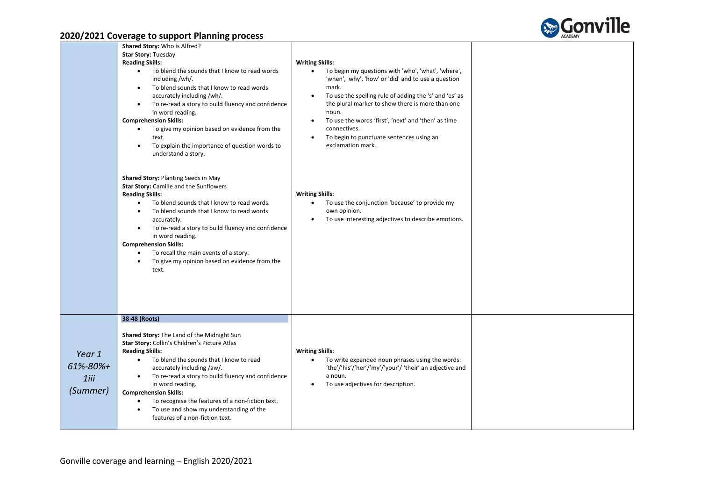

|                                                                                                                                                                                                                                                                                                                                                                                                                                                                                                                                                              | Shared Story: Who is Alfred?<br><b>Star Story: Tuesday</b><br><b>Reading Skills:</b><br>To blend the sounds that I know to read words<br>$\bullet$<br>including/wh/.<br>To blend sounds that I know to read words<br>$\bullet$<br>accurately including /wh/.<br>To re-read a story to build fluency and confidence<br>$\bullet$<br>in word reading.<br><b>Comprehension Skills:</b><br>To give my opinion based on evidence from the<br>text.<br>To explain the importance of question words to<br>$\bullet$<br>understand a story. | <b>Writing Skills:</b><br>To begin my questions with 'who', 'what', 'where',<br>$\bullet$<br>'when', 'why', 'how' or 'did' and to use a question<br>mark.<br>To use the spelling rule of adding the 's' and 'es' as<br>$\bullet$<br>the plural marker to show there is more than one<br>noun.<br>To use the words 'first', 'next' and 'then' as time<br>$\bullet$<br>connectives.<br>To begin to punctuate sentences using an<br>$\bullet$<br>exclamation mark. |  |
|--------------------------------------------------------------------------------------------------------------------------------------------------------------------------------------------------------------------------------------------------------------------------------------------------------------------------------------------------------------------------------------------------------------------------------------------------------------------------------------------------------------------------------------------------------------|-------------------------------------------------------------------------------------------------------------------------------------------------------------------------------------------------------------------------------------------------------------------------------------------------------------------------------------------------------------------------------------------------------------------------------------------------------------------------------------------------------------------------------------|-----------------------------------------------------------------------------------------------------------------------------------------------------------------------------------------------------------------------------------------------------------------------------------------------------------------------------------------------------------------------------------------------------------------------------------------------------------------|--|
|                                                                                                                                                                                                                                                                                                                                                                                                                                                                                                                                                              | Shared Story: Planting Seeds in May<br>Star Story: Camille and the Sunflowers<br><b>Reading Skills:</b><br>To blend sounds that I know to read words.<br>$\bullet$<br>To blend sounds that I know to read words<br>$\bullet$<br>accurately.<br>To re-read a story to build fluency and confidence<br>$\bullet$<br>in word reading.<br><b>Comprehension Skills:</b><br>To recall the main events of a story.<br>$\bullet$<br>To give my opinion based on evidence from the<br>$\bullet$<br>text.                                     | <b>Writing Skills:</b><br>To use the conjunction 'because' to provide my<br>$\bullet$<br>own opinion.<br>To use interesting adjectives to describe emotions.<br>$\bullet$                                                                                                                                                                                                                                                                                       |  |
| 38-48 (Roots)<br>Shared Story: The Land of the Midnight Sun<br>Star Story: Collin's Children's Picture Atlas<br><b>Reading Skills:</b><br>Year 1<br>To blend the sounds that I know to read<br>$\bullet$<br>61%-80%+<br>accurately including /aw/.<br>To re-read a story to build fluency and confidence<br>$\bullet$<br>$1$ iii<br>in word reading.<br>(Summer)<br><b>Comprehension Skills:</b><br>To recognise the features of a non-fiction text.<br>$\bullet$<br>To use and show my understanding of the<br>$\bullet$<br>features of a non-fiction text. |                                                                                                                                                                                                                                                                                                                                                                                                                                                                                                                                     | <b>Writing Skills:</b><br>To write expanded noun phrases using the words:<br>$\bullet$<br>'the'/'his'/'her'/'my'/'your'/ 'their' an adjective and<br>a noun.<br>To use adjectives for description.<br>$\bullet$                                                                                                                                                                                                                                                 |  |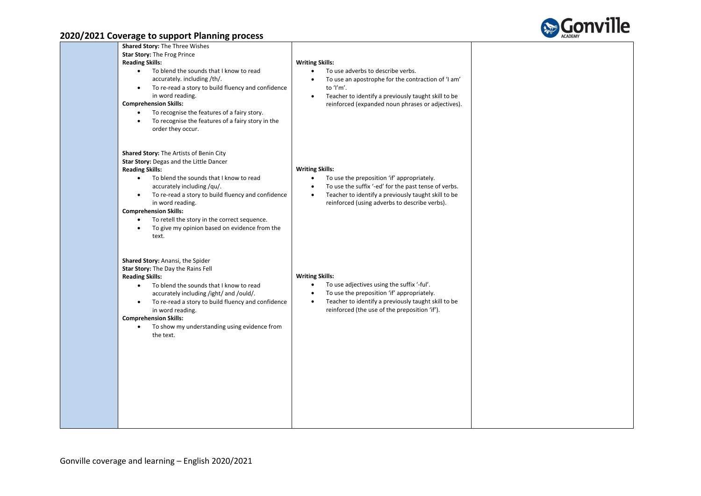

| Shared Story: The Three Wishes<br>Star Story: The Frog Prince<br><b>Reading Skills:</b><br>To blend the sounds that I know to read<br>$\bullet$<br>accurately. including /th/.<br>To re-read a story to build fluency and confidence<br>$\bullet$<br>in word reading.<br><b>Comprehension Skills:</b><br>To recognise the features of a fairy story.<br>To recognise the features of a fairy story in the<br>$\bullet$<br>order they occur.      | <b>Writing Skills:</b><br>To use adverbs to describe verbs.<br>$\bullet$<br>To use an apostrophe for the contraction of 'I am'<br>$\bullet$<br>to 'I'm'.<br>Teacher to identify a previously taught skill to be<br>$\bullet$<br>reinforced (expanded noun phrases or adjectives). |  |
|--------------------------------------------------------------------------------------------------------------------------------------------------------------------------------------------------------------------------------------------------------------------------------------------------------------------------------------------------------------------------------------------------------------------------------------------------|-----------------------------------------------------------------------------------------------------------------------------------------------------------------------------------------------------------------------------------------------------------------------------------|--|
| Shared Story: The Artists of Benin City<br>Star Story: Degas and the Little Dancer<br><b>Reading Skills:</b><br>To blend the sounds that I know to read<br>$\bullet$<br>accurately including /qu/.<br>To re-read a story to build fluency and confidence<br>$\bullet$<br>in word reading.<br><b>Comprehension Skills:</b><br>To retell the story in the correct sequence.<br>To give my opinion based on evidence from the<br>$\bullet$<br>text. | <b>Writing Skills:</b><br>To use the preposition 'if' appropriately.<br>$\bullet$<br>To use the suffix '-ed' for the past tense of verbs.<br>$\bullet$<br>Teacher to identify a previously taught skill to be<br>$\bullet$<br>reinforced (using adverbs to describe verbs).       |  |
| Shared Story: Anansi, the Spider<br>Star Story: The Day the Rains Fell<br><b>Reading Skills:</b><br>To blend the sounds that I know to read<br>$\bullet$<br>accurately including /ight/ and /ould/.<br>To re-read a story to build fluency and confidence<br>$\bullet$<br>in word reading.<br><b>Comprehension Skills:</b><br>To show my understanding using evidence from<br>the text.                                                          | <b>Writing Skills:</b><br>To use adjectives using the suffix '-ful'.<br>$\bullet$<br>To use the preposition 'if' appropriately.<br>$\bullet$<br>Teacher to identify a previously taught skill to be<br>$\bullet$<br>reinforced (the use of the preposition 'if').                 |  |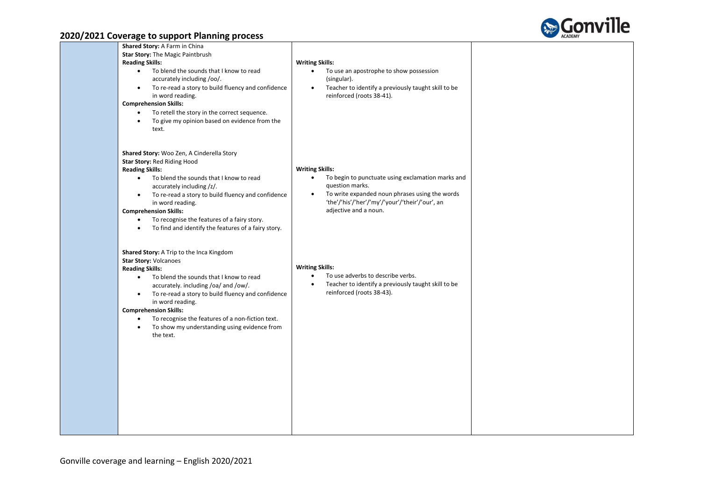

| Star Story: The Magic Paintbrush | To use an apostrophe to show possession<br>$\bullet$<br>(singular).<br>Teacher to identify a previously taught skill to be<br>$\bullet$<br>reinforced (roots 38-41).                                                                                                                                                                                                                                                                                                                                                                                                                                                                                                                                                                                                                                   |                                                                            |
|----------------------------------|--------------------------------------------------------------------------------------------------------------------------------------------------------------------------------------------------------------------------------------------------------------------------------------------------------------------------------------------------------------------------------------------------------------------------------------------------------------------------------------------------------------------------------------------------------------------------------------------------------------------------------------------------------------------------------------------------------------------------------------------------------------------------------------------------------|----------------------------------------------------------------------------|
|                                  | To begin to punctuate using exclamation marks and<br>$\bullet$<br>question marks.<br>To write expanded noun phrases using the words<br>$\bullet$<br>'the'/'his'/'her'/'my'/'your'/'their'/'our', an<br>adjective and a noun.                                                                                                                                                                                                                                                                                                                                                                                                                                                                                                                                                                           |                                                                            |
|                                  | To use adverbs to describe verbs.<br>$\bullet$<br>Teacher to identify a previously taught skill to be<br>$\bullet$<br>reinforced (roots 38-43).                                                                                                                                                                                                                                                                                                                                                                                                                                                                                                                                                                                                                                                        |                                                                            |
|                                  | To blend the sounds that I know to read<br>accurately including /oo/.<br>To re-read a story to build fluency and confidence<br>To retell the story in the correct sequence.<br>To give my opinion based on evidence from the<br>Shared Story: Woo Zen, A Cinderella Story<br>To blend the sounds that I know to read<br>accurately including /z/.<br>To re-read a story to build fluency and confidence<br>To recognise the features of a fairy story.<br>To find and identify the features of a fairy story.<br>Shared Story: A Trip to the Inca Kingdom<br>To blend the sounds that I know to read<br>accurately. including /oa/ and /ow/.<br>To re-read a story to build fluency and confidence<br>To recognise the features of a non-fiction text.<br>To show my understanding using evidence from | <b>Writing Skills:</b><br><b>Writing Skills:</b><br><b>Writing Skills:</b> |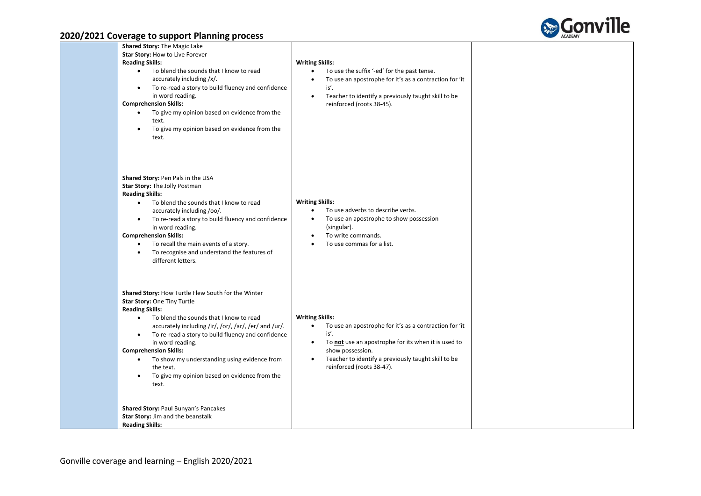

| . <b>. .</b> .<br>. .                                                                                                                                                                                                                                                                                                                                                                                                                                                                                                                                                                          |                                                                                                                                                                                                                                                                                   |  |
|------------------------------------------------------------------------------------------------------------------------------------------------------------------------------------------------------------------------------------------------------------------------------------------------------------------------------------------------------------------------------------------------------------------------------------------------------------------------------------------------------------------------------------------------------------------------------------------------|-----------------------------------------------------------------------------------------------------------------------------------------------------------------------------------------------------------------------------------------------------------------------------------|--|
| Shared Story: The Magic Lake<br>Star Story: How to Live Forever<br><b>Reading Skills:</b><br>To blend the sounds that I know to read<br>$\bullet$<br>accurately including /x/.<br>To re-read a story to build fluency and confidence<br>$\bullet$<br>in word reading.<br><b>Comprehension Skills:</b><br>To give my opinion based on evidence from the<br>$\bullet$<br>text.<br>To give my opinion based on evidence from the<br>text.                                                                                                                                                         | <b>Writing Skills:</b><br>To use the suffix '-ed' for the past tense.<br>$\bullet$<br>To use an apostrophe for it's as a contraction for 'it<br>$\bullet$<br>is'.<br>Teacher to identify a previously taught skill to be<br>reinforced (roots 38-45).                             |  |
| Shared Story: Pen Pals in the USA<br>Star Story: The Jolly Postman<br><b>Reading Skills:</b><br>To blend the sounds that I know to read<br>$\bullet$<br>accurately including /oo/.<br>To re-read a story to build fluency and confidence<br>in word reading.<br><b>Comprehension Skills:</b><br>To recall the main events of a story.<br>$\bullet$<br>To recognise and understand the features of<br>different letters.                                                                                                                                                                        | <b>Writing Skills:</b><br>To use adverbs to describe verbs.<br>$\bullet$<br>To use an apostrophe to show possession<br>$\bullet$<br>(singular).<br>To write commands.<br>To use commas for a list.                                                                                |  |
| Shared Story: How Turtle Flew South for the Winter<br>Star Story: One Tiny Turtle<br><b>Reading Skills:</b><br>$\bullet$<br>To blend the sounds that I know to read<br>accurately including /ir/, /or/, /ar/, /er/ and /ur/.<br>To re-read a story to build fluency and confidence<br>$\bullet$<br>in word reading.<br><b>Comprehension Skills:</b><br>To show my understanding using evidence from<br>$\bullet$<br>the text.<br>To give my opinion based on evidence from the<br>text.<br>Shared Story: Paul Bunyan's Pancakes<br>Star Story: Jim and the beanstalk<br><b>Reading Skills:</b> | <b>Writing Skills:</b><br>To use an apostrophe for it's as a contraction for 'it<br>$\bullet$<br>is'.<br>To not use an apostrophe for its when it is used to<br>show possession.<br>Teacher to identify a previously taught skill to be<br>$\bullet$<br>reinforced (roots 38-47). |  |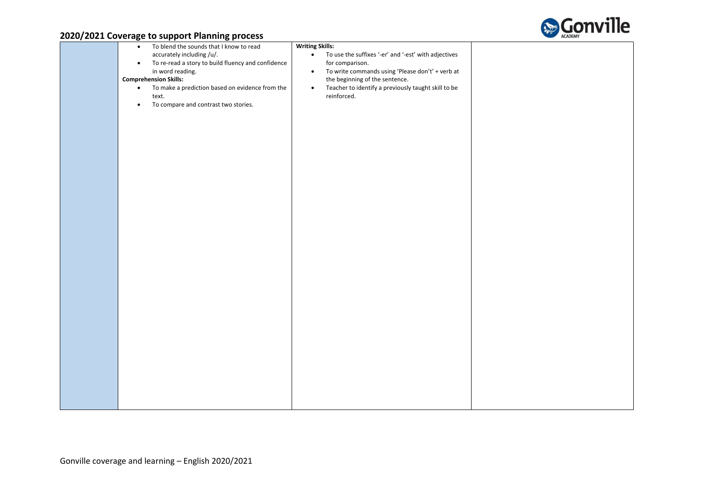

|  | -         |                                                    |                                                                   |
|--|-----------|----------------------------------------------------|-------------------------------------------------------------------|
|  | $\bullet$ | To blend the sounds that I know to read            | <b>Writing Skills:</b>                                            |
|  |           | accurately including /u/.                          | To use the suffixes '-er' and '-est' with adjectives<br>$\bullet$ |
|  |           |                                                    |                                                                   |
|  | $\bullet$ | To re-read a story to build fluency and confidence | for comparison.                                                   |
|  |           | in word reading.                                   | To write commands using 'Please don't' + verb at<br>$\bullet$     |
|  |           | <b>Comprehension Skills:</b>                       | the beginning of the sentence.                                    |
|  | $\bullet$ | To make a prediction based on evidence from the    | Teacher to identify a previously taught skill to be<br>$\bullet$  |
|  |           | text.                                              | reinforced.                                                       |
|  | $\bullet$ | To compare and contrast two stories.               |                                                                   |
|  |           |                                                    |                                                                   |
|  |           |                                                    |                                                                   |
|  |           |                                                    |                                                                   |
|  |           |                                                    |                                                                   |
|  |           |                                                    |                                                                   |
|  |           |                                                    |                                                                   |
|  |           |                                                    |                                                                   |
|  |           |                                                    |                                                                   |
|  |           |                                                    |                                                                   |
|  |           |                                                    |                                                                   |
|  |           |                                                    |                                                                   |
|  |           |                                                    |                                                                   |
|  |           |                                                    |                                                                   |
|  |           |                                                    |                                                                   |
|  |           |                                                    |                                                                   |
|  |           |                                                    |                                                                   |
|  |           |                                                    |                                                                   |
|  |           |                                                    |                                                                   |
|  |           |                                                    |                                                                   |
|  |           |                                                    |                                                                   |
|  |           |                                                    |                                                                   |
|  |           |                                                    |                                                                   |
|  |           |                                                    |                                                                   |
|  |           |                                                    |                                                                   |
|  |           |                                                    |                                                                   |
|  |           |                                                    |                                                                   |
|  |           |                                                    |                                                                   |
|  |           |                                                    |                                                                   |
|  |           |                                                    |                                                                   |
|  |           |                                                    |                                                                   |
|  |           |                                                    |                                                                   |
|  |           |                                                    |                                                                   |
|  |           |                                                    |                                                                   |
|  |           |                                                    |                                                                   |
|  |           |                                                    |                                                                   |
|  |           |                                                    |                                                                   |
|  |           |                                                    |                                                                   |
|  |           |                                                    |                                                                   |
|  |           |                                                    |                                                                   |
|  |           |                                                    |                                                                   |
|  |           |                                                    |                                                                   |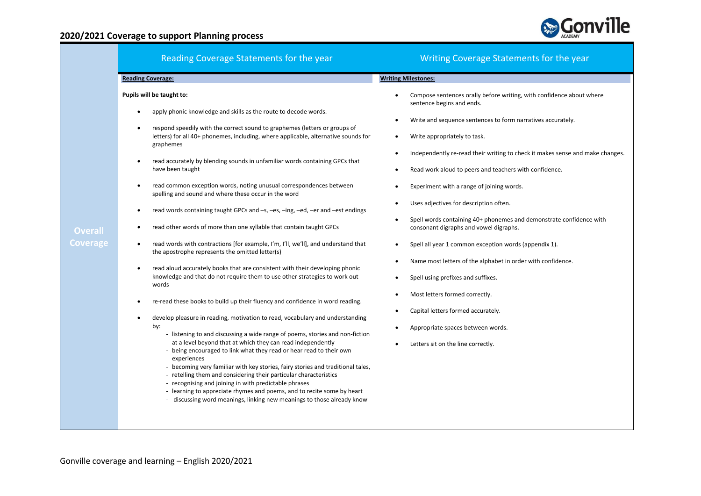

|                            | Reading Coverage Statements for the year                                                                                                                                                                                                                                                                                                                                                                                                                                                                                                                                                                                                                                                                                                                                                                                                                                                                                                                                                                                                                                                                                                                                                                                                                                                                                                                                                                                                                                                                                                                                                                                                                                                                                                                                             | Writing Coverage Statements for the year                                                                                                                                                                                                                                                                                                                                                                                                                                                                                                                                                                                                                                                                                                                                                     |
|----------------------------|--------------------------------------------------------------------------------------------------------------------------------------------------------------------------------------------------------------------------------------------------------------------------------------------------------------------------------------------------------------------------------------------------------------------------------------------------------------------------------------------------------------------------------------------------------------------------------------------------------------------------------------------------------------------------------------------------------------------------------------------------------------------------------------------------------------------------------------------------------------------------------------------------------------------------------------------------------------------------------------------------------------------------------------------------------------------------------------------------------------------------------------------------------------------------------------------------------------------------------------------------------------------------------------------------------------------------------------------------------------------------------------------------------------------------------------------------------------------------------------------------------------------------------------------------------------------------------------------------------------------------------------------------------------------------------------------------------------------------------------------------------------------------------------|----------------------------------------------------------------------------------------------------------------------------------------------------------------------------------------------------------------------------------------------------------------------------------------------------------------------------------------------------------------------------------------------------------------------------------------------------------------------------------------------------------------------------------------------------------------------------------------------------------------------------------------------------------------------------------------------------------------------------------------------------------------------------------------------|
|                            | <b>Reading Coverage:</b>                                                                                                                                                                                                                                                                                                                                                                                                                                                                                                                                                                                                                                                                                                                                                                                                                                                                                                                                                                                                                                                                                                                                                                                                                                                                                                                                                                                                                                                                                                                                                                                                                                                                                                                                                             | <b>Writing Milestones:</b>                                                                                                                                                                                                                                                                                                                                                                                                                                                                                                                                                                                                                                                                                                                                                                   |
|                            | Pupils will be taught to:                                                                                                                                                                                                                                                                                                                                                                                                                                                                                                                                                                                                                                                                                                                                                                                                                                                                                                                                                                                                                                                                                                                                                                                                                                                                                                                                                                                                                                                                                                                                                                                                                                                                                                                                                            | Compose sentences orally before writing, with confidence about where                                                                                                                                                                                                                                                                                                                                                                                                                                                                                                                                                                                                                                                                                                                         |
| <b>Overall</b><br>Coverage | apply phonic knowledge and skills as the route to decode words.<br>respond speedily with the correct sound to graphemes (letters or groups of<br>letters) for all 40+ phonemes, including, where applicable, alternative sounds for<br>graphemes<br>read accurately by blending sounds in unfamiliar words containing GPCs that<br>$\bullet$<br>have been taught<br>read common exception words, noting unusual correspondences between<br>$\bullet$<br>spelling and sound and where these occur in the word<br>read words containing taught GPCs and -s, -es, -ing, -ed, -er and -est endings<br>read other words of more than one syllable that contain taught GPCs<br>read words with contractions [for example, I'm, I'll, we'll], and understand that<br>the apostrophe represents the omitted letter(s)<br>read aloud accurately books that are consistent with their developing phonic<br>$\bullet$<br>knowledge and that do not require them to use other strategies to work out<br>words<br>re-read these books to build up their fluency and confidence in word reading.<br>develop pleasure in reading, motivation to read, vocabulary and understanding<br>by:<br>- listening to and discussing a wide range of poems, stories and non-fiction<br>at a level beyond that at which they can read independently<br>- being encouraged to link what they read or hear read to their own<br>experiences<br>- becoming very familiar with key stories, fairy stories and traditional tales,<br>- retelling them and considering their particular characteristics<br>- recognising and joining in with predictable phrases<br>- learning to appreciate rhymes and poems, and to recite some by heart<br>- discussing word meanings, linking new meanings to those already know | sentence begins and ends.<br>Write and sequence sentences to form narratives accurately.<br>Write appropriately to task.<br>Independently re-read their writing to check it makes sense and make changes.<br>Read work aloud to peers and teachers with confidence.<br>Experiment with a range of joining words.<br>Uses adjectives for description often.<br>Spell words containing 40+ phonemes and demonstrate confidence with<br>consonant digraphs and vowel digraphs.<br>Spell all year 1 common exception words (appendix 1).<br>Name most letters of the alphabet in order with confidence.<br>Spell using prefixes and suffixes.<br>Most letters formed correctly.<br>Capital letters formed accurately.<br>Appropriate spaces between words.<br>Letters sit on the line correctly. |
|                            |                                                                                                                                                                                                                                                                                                                                                                                                                                                                                                                                                                                                                                                                                                                                                                                                                                                                                                                                                                                                                                                                                                                                                                                                                                                                                                                                                                                                                                                                                                                                                                                                                                                                                                                                                                                      |                                                                                                                                                                                                                                                                                                                                                                                                                                                                                                                                                                                                                                                                                                                                                                                              |